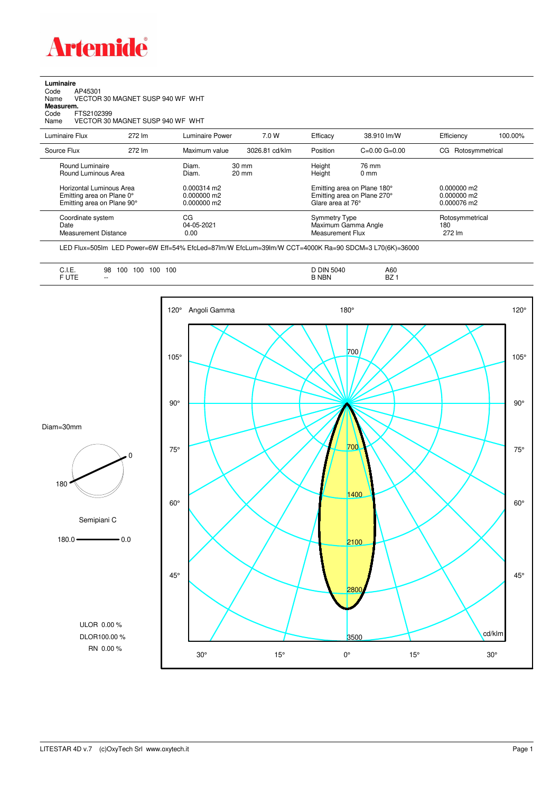

**Luminaire**<br>Code /<br>Name \ Code AP45301 Name VECTOR 30 MAGNET SUSP 940 WF WHT

**Measurem.**

Code FTS2102399 Name VECTOR 30 MAGNET SUSP 940 WF WHT

| Luminaire Flux                                                                                                                | 272 lm | Luminaire Power                                                          | 7.0 W                              | Efficacy | 38.910 lm/W                                                                                                                    | Efficiency             | 100.00%         |
|-------------------------------------------------------------------------------------------------------------------------------|--------|--------------------------------------------------------------------------|------------------------------------|----------|--------------------------------------------------------------------------------------------------------------------------------|------------------------|-----------------|
| Source Flux                                                                                                                   | 272 lm | Maximum value                                                            | 3026.81 cd/klm                     | Position | $C=0.00$ $G=0.00$                                                                                                              | Rotosymmetrical<br>CG. |                 |
| Round Luminaire<br>Round Luminous Area<br>Horizontal Luminous Area<br>Emitting area on Plane 0°<br>Emitting area on Plane 90° |        | Diam.<br>Diam.<br>$0.000314 \text{ m}$<br>$0.000000$ m2<br>$0.000000$ m2 | $30 \text{ mm}$<br>$20 \text{ mm}$ |          | Height<br>76 mm<br>Height<br>$0 \text{ mm}$<br>Emitting area on Plane 180°<br>Emitting area on Plane 270°<br>Glare area at 76° |                        |                 |
| Coordinate system<br>Date<br>Measurement Distance                                                                             |        | CG<br>04-05-2021<br>0.00                                                 |                                    |          | Symmetry Type<br>Maximum Gamma Angle<br>Measurement Flux                                                                       |                        | Rotosymmetrical |

LED Flux=505lm LED Power=6W Eff=54% EfcLed=87lm/W EfcLum=39lm/W CCT=4000K Ra=90 SDCM=3 L70(6K)=36000